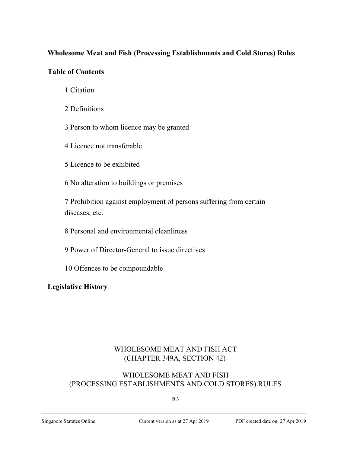# **Wholesome Meat and Fish (Processing Establishments and Cold Stores) Rules**

## **Table of Contents**

- 1 Citation
- 2 Definitions
- 3 Person to whom licence may be granted
- 4 Licence not transferable
- 5 Licence to be exhibited
- 6 No alteration to buildings or premises
- 7 Prohibition against employment of persons suffering from certain diseases, etc.
- 8 Personal and environmental cleanliness
- 9 Power of Director-General to issue directives
- 10 Offences to be compoundable

# **Legislative History**

# WHOLESOME MEAT AND FISH ACT (CHAPTER 349A, SECTION 42)

# WHOLESOME MEAT AND FISH (PROCESSING ESTABLISHMENTS AND COLD STORES) RULES

### **R 3**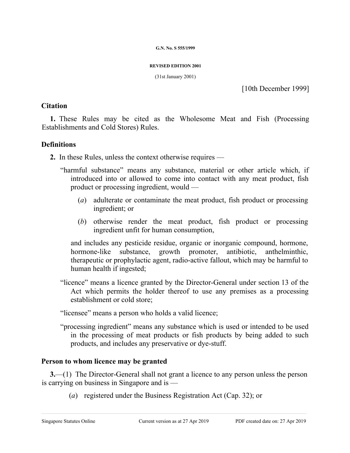#### **G.N. No. S 555/1999**

#### **REVISED EDITION 2001**

(31st January 2001)

[10th December 1999]

### **Citation**

**1.** These Rules may be cited as the Wholesome Meat and Fish (Processing Establishments and Cold Stores) Rules.

## **Definitions**

**2.** In these Rules, unless the context otherwise requires —

- "harmful substance" means any substance, material or other article which, if introduced into or allowed to come into contact with any meat product, fish product or processing ingredient, would —
	- (*a*) adulterate or contaminate the meat product, fish product or processing ingredient; or
	- (*b*) otherwise render the meat product, fish product or processing ingredient unfit for human consumption,

and includes any pesticide residue, organic or inorganic compound, hormone, hormone-like substance, growth promoter, antibiotic, anthelminthic, therapeutic or prophylactic agent, radio-active fallout, which may be harmful to human health if ingested;

"licence" means a licence granted by the Director-General under section 13 of the Act which permits the holder thereof to use any premises as a processing establishment or cold store;

"licensee" means a person who holds a valid licence;

"processing ingredient" means any substance which is used or intended to be used in the processing of meat products or fish products by being added to such products, and includes any preservative or dye-stuff.

# **Person to whom licence may be granted**

**3.**—(1) The Director-General shall not grant a licence to any person unless the person is carrying on business in Singapore and is —

(*a*) registered under the Business Registration Act (Cap. 32); or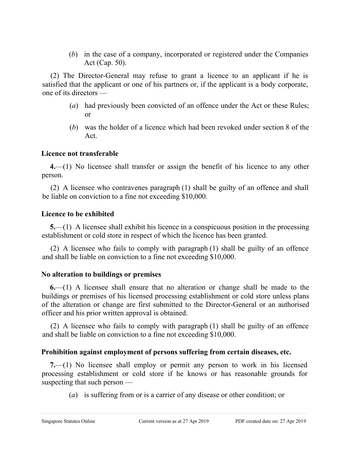(*b*) in the case of a company, incorporated or registered under the Companies Act (Cap. 50).

(2) The Director-General may refuse to grant a licence to an applicant if he is satisfied that the applicant or one of his partners or, if the applicant is a body corporate, one of its directors —

- (*a*) had previously been convicted of an offence under the Act or these Rules; or
- (*b*) was the holder of a licence which had been revoked under section 8 of the Act.

## **Licence not transferable**

**4.**—(1) No licensee shall transfer or assign the benefit of his licence to any other person.

(2) A licensee who contravenes paragraph (1) shall be guilty of an offence and shall be liable on conviction to a fine not exceeding \$10,000.

### **Licence to be exhibited**

**5.**—(1) A licensee shall exhibit his licence in a conspicuous position in the processing establishment or cold store in respect of which the licence has been granted.

(2) A licensee who fails to comply with paragraph (1) shall be guilty of an offence and shall be liable on conviction to a fine not exceeding \$10,000.

## **No alteration to buildings or premises**

**6.**—(1) A licensee shall ensure that no alteration or change shall be made to the buildings or premises of his licensed processing establishment or cold store unless plans of the alteration or change are first submitted to the Director-General or an authorised officer and his prior written approval is obtained.

(2) A licensee who fails to comply with paragraph (1) shall be guilty of an offence and shall be liable on conviction to a fine not exceeding \$10,000.

# **Prohibition against employment of persons suffering from certain diseases, etc.**

**7.**—(1) No licensee shall employ or permit any person to work in his licensed processing establishment or cold store if he knows or has reasonable grounds for suspecting that such person —

(*a*) is suffering from or is a carrier of any disease or other condition; or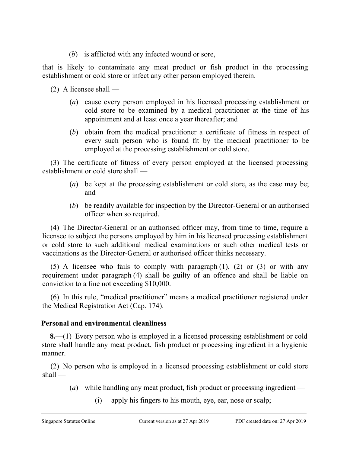(*b*) is afflicted with any infected wound or sore,

that is likely to contaminate any meat product or fish product in the processing establishment or cold store or infect any other person employed therein.

(2) A licensee shall —

- (*a*) cause every person employed in his licensed processing establishment or cold store to be examined by a medical practitioner at the time of his appointment and at least once a year thereafter; and
- (*b*) obtain from the medical practitioner a certificate of fitness in respect of every such person who is found fit by the medical practitioner to be employed at the processing establishment or cold store.

(3) The certificate of fitness of every person employed at the licensed processing establishment or cold store shall —

- (*a*) be kept at the processing establishment or cold store, as the case may be; and
- (*b*) be readily available for inspection by the Director-General or an authorised officer when so required.

(4) The Director-General or an authorised officer may, from time to time, require a licensee to subject the persons employed by him in his licensed processing establishment or cold store to such additional medical examinations or such other medical tests or vaccinations as the Director-General or authorised officer thinks necessary.

(5) A licensee who fails to comply with paragraph (1), (2) or (3) or with any requirement under paragraph (4) shall be guilty of an offence and shall be liable on conviction to a fine not exceeding \$10,000.

(6) In this rule, "medical practitioner" means a medical practitioner registered under the Medical Registration Act (Cap. 174).

# **Personal and environmental cleanliness**

**8.**—(1) Every person who is employed in a licensed processing establishment or cold store shall handle any meat product, fish product or processing ingredient in a hygienic manner.

(2) No person who is employed in a licensed processing establishment or cold store shall —

- (*a*) while handling any meat product, fish product or processing ingredient
	- (i) apply his fingers to his mouth, eye, ear, nose or scalp;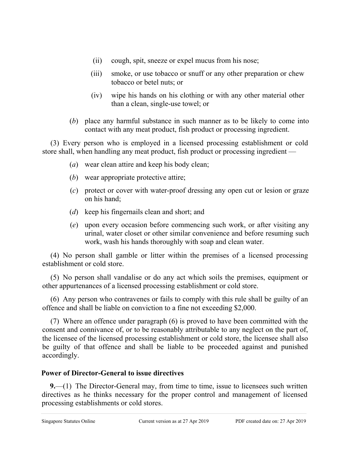- (ii) cough, spit, sneeze or expel mucus from his nose;
- (iii) smoke, or use tobacco or snuff or any other preparation or chew tobacco or betel nuts; or
- (iv) wipe his hands on his clothing or with any other material other than a clean, single-use towel; or
- (*b*) place any harmful substance in such manner as to be likely to come into contact with any meat product, fish product or processing ingredient.

(3) Every person who is employed in a licensed processing establishment or cold store shall, when handling any meat product, fish product or processing ingredient —

- (*a*) wear clean attire and keep his body clean;
- (*b*) wear appropriate protective attire;
- (*c*) protect or cover with water-proof dressing any open cut or lesion or graze on his hand;
- (*d*) keep his fingernails clean and short; and
- (*e*) upon every occasion before commencing such work, or after visiting any urinal, water closet or other similar convenience and before resuming such work, wash his hands thoroughly with soap and clean water.

(4) No person shall gamble or litter within the premises of a licensed processing establishment or cold store.

(5) No person shall vandalise or do any act which soils the premises, equipment or other appurtenances of a licensed processing establishment or cold store.

(6) Any person who contravenes or fails to comply with this rule shall be guilty of an offence and shall be liable on conviction to a fine not exceeding \$2,000.

(7) Where an offence under paragraph (6) is proved to have been committed with the consent and connivance of, or to be reasonably attributable to any neglect on the part of, the licensee of the licensed processing establishment or cold store, the licensee shall also be guilty of that offence and shall be liable to be proceeded against and punished accordingly.

# **Power of Director-General to issue directives**

**9.**—(1) The Director-General may, from time to time, issue to licensees such written directives as he thinks necessary for the proper control and management of licensed processing establishments or cold stores.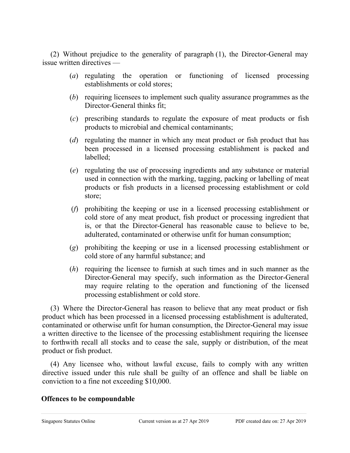(2) Without prejudice to the generality of paragraph (1), the Director-General may issue written directives —

- (*a*) regulating the operation or functioning of licensed processing establishments or cold stores;
- (*b*) requiring licensees to implement such quality assurance programmes as the Director-General thinks fit;
- (*c*) prescribing standards to regulate the exposure of meat products or fish products to microbial and chemical contaminants;
- (*d*) regulating the manner in which any meat product or fish product that has been processed in a licensed processing establishment is packed and labelled;
- (*e*) regulating the use of processing ingredients and any substance or material used in connection with the marking, tagging, packing or labelling of meat products or fish products in a licensed processing establishment or cold store;
- (*f*) prohibiting the keeping or use in a licensed processing establishment or cold store of any meat product, fish product or processing ingredient that is, or that the Director-General has reasonable cause to believe to be, adulterated, contaminated or otherwise unfit for human consumption;
- (*g*) prohibiting the keeping or use in a licensed processing establishment or cold store of any harmful substance; and
- (*h*) requiring the licensee to furnish at such times and in such manner as the Director-General may specify, such information as the Director-General may require relating to the operation and functioning of the licensed processing establishment or cold store.

(3) Where the Director-General has reason to believe that any meat product or fish product which has been processed in a licensed processing establishment is adulterated, contaminated or otherwise unfit for human consumption, the Director-General may issue a written directive to the licensee of the processing establishment requiring the licensee to forthwith recall all stocks and to cease the sale, supply or distribution, of the meat product or fish product.

(4) Any licensee who, without lawful excuse, fails to comply with any written directive issued under this rule shall be guilty of an offence and shall be liable on conviction to a fine not exceeding \$10,000.

### **Offences to be compoundable**